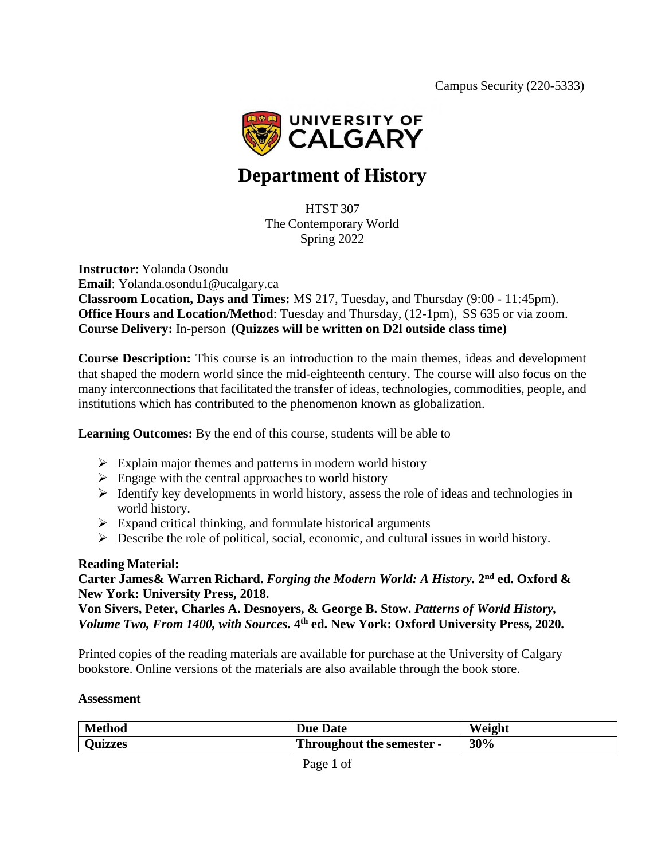

# **Department of History**

HTST 307 The Contemporary World Spring 2022

**Instructor**: Yolanda Osondu **Email**: [Yolanda.osondu1@ucalgary.ca](mailto:Yolanda.osondu1@ucalgary.ca) **Classroom Location, Days and Times:** MS 217, Tuesday, and Thursday (9:00 - 11:45pm). **Office Hours and Location/Method**: Tuesday and Thursday, (12-1pm), SS 635 or via zoom. **Course Delivery:** In-person **(Quizzes will be written on D2l outside class time)**

**Course Description:** This course is an introduction to the main themes, ideas and development that shaped the modern world since the mid-eighteenth century. The course will also focus on the many interconnections that facilitated the transfer of ideas, technologies, commodities, people, and institutions which has contributed to the phenomenon known as globalization.

**Learning Outcomes:** By the end of this course, students will be able to

- $\triangleright$  Explain major themes and patterns in modern world history
- $\triangleright$  Engage with the central approaches to world history
- ➢ Identify key developments in world history, assess the role of ideas and technologies in world history.
- $\triangleright$  Expand critical thinking, and formulate historical arguments
- ➢ Describe the role of political, social, economic, and cultural issues in world history.

#### **Reading Material:**

#### **Carter James& Warren Richard.** *Forging the Modern World: A History.* **2 nd ed. Oxford & New York: University Press, 2018.**

**Von Sivers, Peter, Charles A. Desnoyers, & George B. Stow.** *Patterns of World History, Volume Two, From 1400, with Sources.* **4 th ed. New York: Oxford University Press, 2020.**

Printed copies of the reading materials are available for purchase at the University of Calgary bookstore. Online versions of the materials are also available through the book store.

#### **Assessment**

| <b>Method</b>  | <b>Due Date</b>           | Weight |
|----------------|---------------------------|--------|
| <b>Ouizzes</b> | Throughout the semester - | 30%    |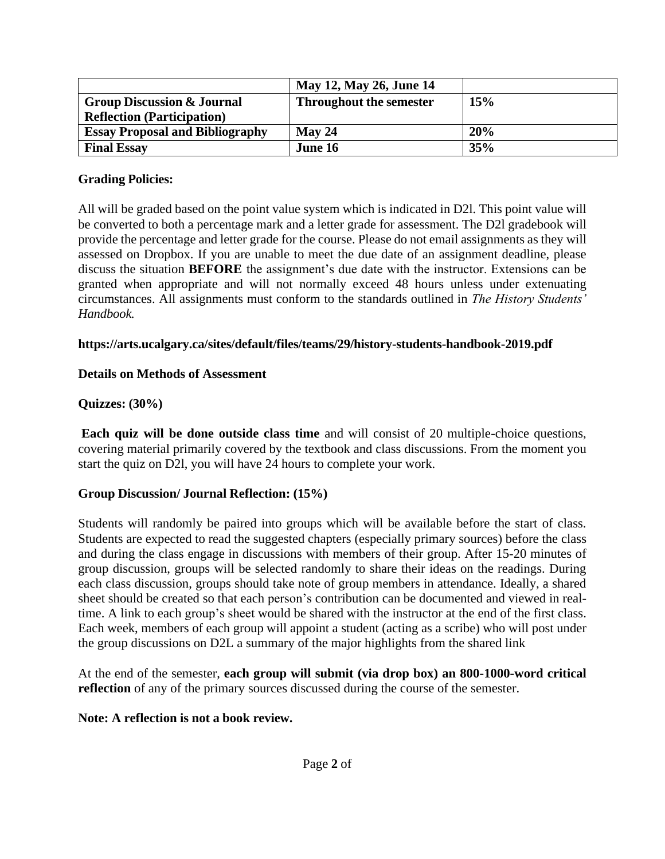|                                        | May 12, May 26, June 14        |     |
|----------------------------------------|--------------------------------|-----|
| <b>Group Discussion &amp; Journal</b>  | <b>Throughout the semester</b> | 15% |
| <b>Reflection (Participation)</b>      |                                |     |
| <b>Essay Proposal and Bibliography</b> | $M$ ay 24                      | 20% |
| <b>Final Essay</b>                     | June 16                        | 35% |

#### **Grading Policies:**

All will be graded based on the point value system which is indicated in D2l. This point value will be converted to both a percentage mark and a letter grade for assessment. The D2l gradebook will provide the percentage and letter grade for the course. Please do not email assignments as they will assessed on Dropbox. If you are unable to meet the due date of an assignment deadline, please discuss the situation **BEFORE** the assignment's due date with the instructor. Extensions can be granted when appropriate and will not normally exceed 48 hours unless under extenuating circumstances. All assignments must conform to the standards outlined in *The History Students' Handbook.*

#### **https://arts.ucalgary.ca/sites/default/files/teams/29/history-students-handbook-2019.pdf**

#### **Details on Methods of Assessment**

# **Quizzes: (30%)**

**Each quiz will be done outside class time** and will consist of 20 multiple-choice questions, covering material primarily covered by the textbook and class discussions. From the moment you start the quiz on D2l, you will have 24 hours to complete your work.

#### **Group Discussion/ Journal Reflection: (15%)**

Students will randomly be paired into groups which will be available before the start of class. Students are expected to read the suggested chapters (especially primary sources) before the class and during the class engage in discussions with members of their group. After 15-20 minutes of group discussion, groups will be selected randomly to share their ideas on the readings. During each class discussion, groups should take note of group members in attendance. Ideally, a shared sheet should be created so that each person's contribution can be documented and viewed in realtime. A link to each group's sheet would be shared with the instructor at the end of the first class. Each week, members of each group will appoint a student (acting as a scribe) who will post under the group discussions on D2L a summary of the major highlights from the shared link

At the end of the semester, **each group will submit (via drop box) an 800-1000-word critical reflection** of any of the primary sources discussed during the course of the semester.

#### **Note: A reflection is not a book review.**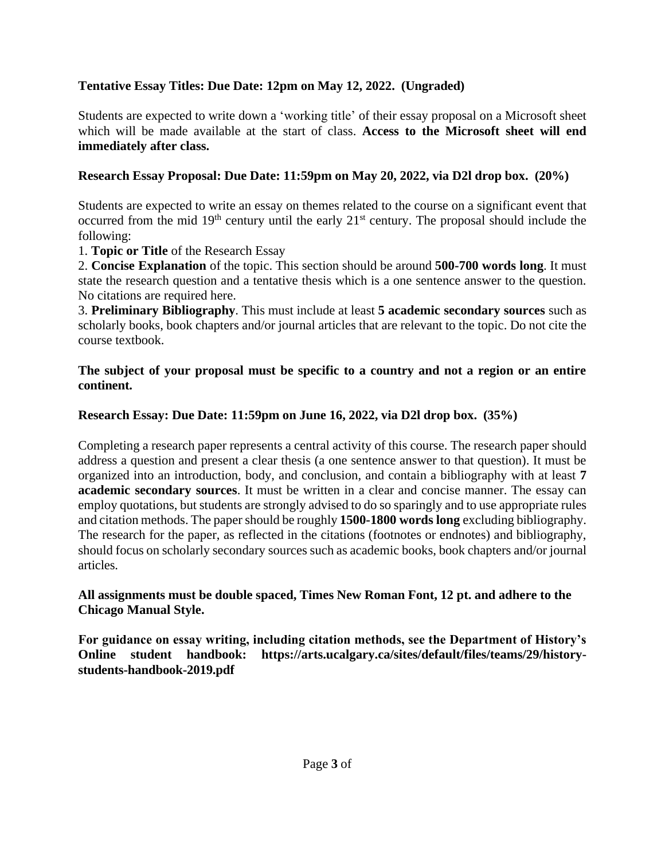# **Tentative Essay Titles: Due Date: 12pm on May 12, 2022. (Ungraded)**

Students are expected to write down a 'working title' of their essay proposal on a Microsoft sheet which will be made available at the start of class. **Access to the Microsoft sheet will end immediately after class.**

# **Research Essay Proposal: Due Date: 11:59pm on May 20, 2022, via D2l drop box. (20%)**

Students are expected to write an essay on themes related to the course on a significant event that occurred from the mid 19<sup>th</sup> century until the early 21<sup>st</sup> century. The proposal should include the following:

1. **Topic or Title** of the Research Essay

2. **Concise Explanation** of the topic. This section should be around **500-700 words long**. It must state the research question and a tentative thesis which is a one sentence answer to the question. No citations are required here.

3. **Preliminary Bibliography**. This must include at least **5 academic secondary sources** such as scholarly books, book chapters and/or journal articles that are relevant to the topic. Do not cite the course textbook.

## **The subject of your proposal must be specific to a country and not a region or an entire continent.**

# **Research Essay: Due Date: 11:59pm on June 16, 2022, via D2l drop box. (35%)**

Completing a research paper represents a central activity of this course. The research paper should address a question and present a clear thesis (a one sentence answer to that question). It must be organized into an introduction, body, and conclusion, and contain a bibliography with at least **7 academic secondary sources**. It must be written in a clear and concise manner. The essay can employ quotations, but students are strongly advised to do so sparingly and to use appropriate rules and citation methods. The paper should be roughly **1500-1800** words long excluding bibliography. The research for the paper, as reflected in the citations (footnotes or endnotes) and bibliography, should focus on scholarly secondary sources such as academic books, book chapters and/or journal articles.

#### **All assignments must be double spaced, Times New Roman Font, 12 pt. and adhere to the Chicago Manual Style.**

**For guidance on essay writing, including citation methods, see the Department of History's Online student handbook: https://arts.ucalgary.ca/sites/default/files/teams/29/historystudents-handbook-2019.pdf**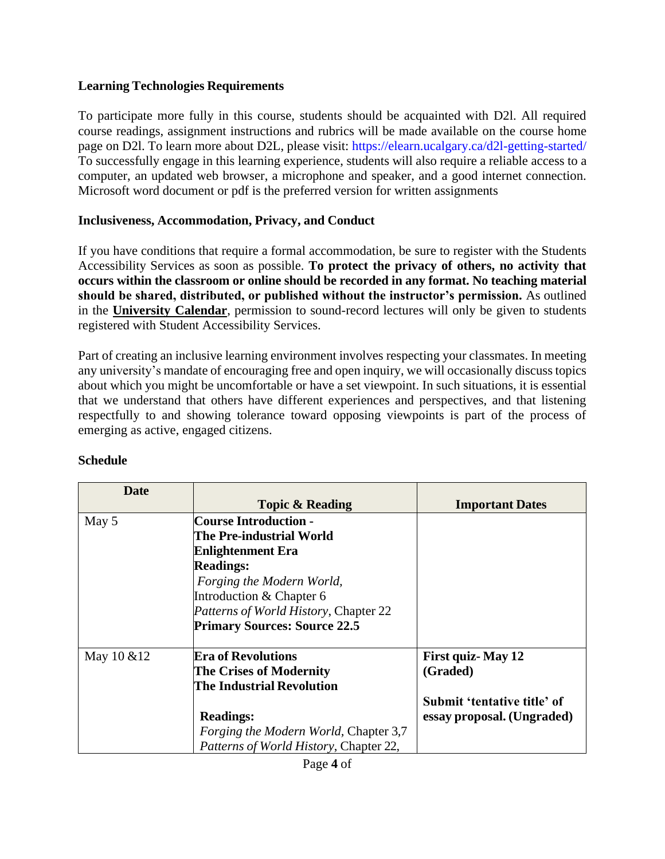#### **Learning Technologies Requirements**

To participate more fully in this course, students should be acquainted with D2l. All required course readings, assignment instructions and rubrics will be made available on the course home page on D2l. To learn more about D2L, please visit: https://elearn.ucalgary.ca/d2l-getting-started/ To successfully engage in this learning experience, students will also require a reliable access to a computer, an updated web browser, a microphone and speaker, and a good internet connection. Microsoft word document or pdf is the preferred version for written assignments

# **Inclusiveness, Accommodation, Privacy, and Conduct**

If you have conditions that require a formal accommodation, be sure to register with the Students Accessibility Services as soon as possible. **To protect the privacy of others, no activity that occurs within the classroom or online should be recorded in any format. No teaching material should be shared, distributed, or published without the instructor's permission.** As outlined in the **[University Calendar](https://www.ucalgary.ca/pubs/calendar/current/e-6.html)**, permission to sound-record lectures will only be given to students registered with Student Accessibility Services.

Part of creating an inclusive learning environment involves respecting your classmates. In meeting any university's mandate of encouraging free and open inquiry, we will occasionally discuss topics about which you might be uncomfortable or have a set viewpoint. In such situations, it is essential that we understand that others have different experiences and perspectives, and that listening respectfully to and showing tolerance toward opposing viewpoints is part of the process of emerging as active, engaged citizens.

| <b>Date</b> |                                              |                             |
|-------------|----------------------------------------------|-----------------------------|
|             | <b>Topic &amp; Reading</b>                   | <b>Important Dates</b>      |
| May 5       | <b>Course Introduction -</b>                 |                             |
|             | The Pre-industrial World                     |                             |
|             | <b>Enlightenment Era</b>                     |                             |
|             | <b>Readings:</b>                             |                             |
|             | Forging the Modern World,                    |                             |
|             | Introduction & Chapter 6                     |                             |
|             | Patterns of World History, Chapter 22        |                             |
|             | <b>Primary Sources: Source 22.5</b>          |                             |
| May 10 & 12 | <b>Era of Revolutions</b>                    | <b>First quiz-May 12</b>    |
|             | The Crises of Modernity                      | (Graded)                    |
|             | <b>The Industrial Revolution</b>             |                             |
|             |                                              | Submit 'tentative title' of |
|             | <b>Readings:</b>                             | essay proposal. (Ungraded)  |
|             | <i>Forging the Modern World, Chapter 3,7</i> |                             |
|             | Patterns of World History, Chapter 22,       |                             |

# **Schedule**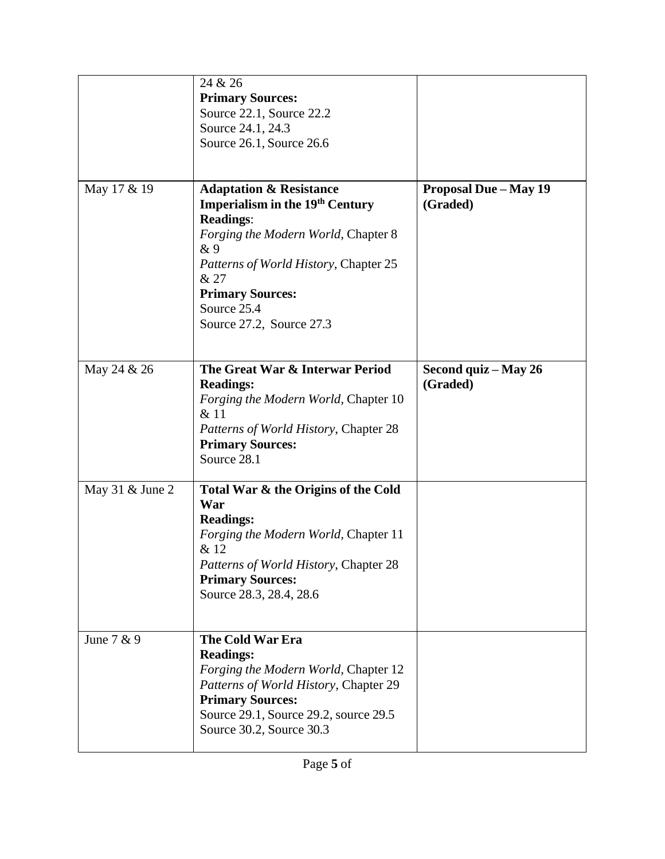|                   | 24 & 26<br><b>Primary Sources:</b><br>Source 22.1, Source 22.2<br>Source 24.1, 24.3<br>Source 26.1, Source 26.6                                                                                                                                                              |                                          |
|-------------------|------------------------------------------------------------------------------------------------------------------------------------------------------------------------------------------------------------------------------------------------------------------------------|------------------------------------------|
| May 17 & 19       | <b>Adaptation &amp; Resistance</b><br><b>Imperialism in the 19th Century</b><br><b>Readings:</b><br>Forging the Modern World, Chapter 8<br>& 9<br><i>Patterns of World History, Chapter 25</i><br>& 27<br><b>Primary Sources:</b><br>Source 25.4<br>Source 27.2, Source 27.3 | <b>Proposal Due - May 19</b><br>(Graded) |
| May 24 & 26       | The Great War & Interwar Period<br><b>Readings:</b><br>Forging the Modern World, Chapter 10<br>& 11<br>Patterns of World History, Chapter 28<br><b>Primary Sources:</b><br>Source 28.1                                                                                       | Second quiz - May 26<br>(Graded)         |
| May 31 $&$ June 2 | Total War & the Origins of the Cold<br>War<br><b>Readings:</b><br>Forging the Modern World, Chapter 11<br>& 12<br>Patterns of World History, Chapter 28<br><b>Primary Sources:</b><br>Source 28.3, 28.4, 28.6                                                                |                                          |
| June 7 & 9        | <b>The Cold War Era</b><br><b>Readings:</b><br>Forging the Modern World, Chapter 12<br>Patterns of World History, Chapter 29<br><b>Primary Sources:</b><br>Source 29.1, Source 29.2, source 29.5<br>Source 30.2, Source 30.3                                                 |                                          |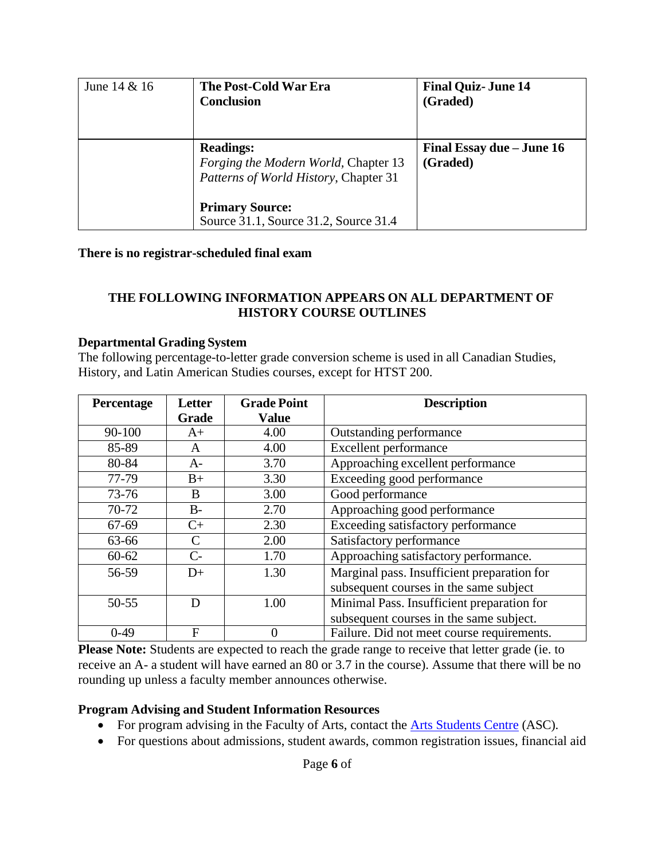| June $14 & 16$ | The Post-Cold War Era<br><b>Conclusion</b>                                                        | <b>Final Quiz-June 14</b><br>(Graded) |
|----------------|---------------------------------------------------------------------------------------------------|---------------------------------------|
|                | <b>Readings:</b><br>Forging the Modern World, Chapter 13<br>Patterns of World History, Chapter 31 | Final Essay due – June 16<br>(Graded) |
|                | <b>Primary Source:</b><br>Source 31.1, Source 31.2, Source 31.4                                   |                                       |

#### **There is no registrar-scheduled final exam**

#### **THE FOLLOWING INFORMATION APPEARS ON ALL DEPARTMENT OF HISTORY COURSE OUTLINES**

#### **Departmental Grading System**

The following percentage-to-letter grade conversion scheme is used in all Canadian Studies, History, and Latin American Studies courses, except for HTST 200.

| Percentage | Letter | <b>Grade Point</b> | <b>Description</b>                          |
|------------|--------|--------------------|---------------------------------------------|
|            | Grade  | <b>Value</b>       |                                             |
| $90 - 100$ | $A+$   | 4.00               | Outstanding performance                     |
| 85-89      | A      | 4.00               | Excellent performance                       |
| 80-84      | $A-$   | 3.70               | Approaching excellent performance           |
| 77-79      | $B+$   | 3.30               | Exceeding good performance                  |
| 73-76      | B      | 3.00               | Good performance                            |
| 70-72      | $B-$   | 2.70               | Approaching good performance                |
| 67-69      | $C+$   | 2.30               | Exceeding satisfactory performance          |
| 63-66      | C      | 2.00               | Satisfactory performance                    |
| $60 - 62$  | $C-$   | 1.70               | Approaching satisfactory performance.       |
| 56-59      | $D+$   | 1.30               | Marginal pass. Insufficient preparation for |
|            |        |                    | subsequent courses in the same subject      |
| 50-55      | D      | 1.00               | Minimal Pass. Insufficient preparation for  |
|            |        |                    | subsequent courses in the same subject.     |
| $0-49$     | F      | 0                  | Failure. Did not meet course requirements.  |

**Please Note:** Students are expected to reach the grade range to receive that letter grade (ie. to receive an A- a student will have earned an 80 or 3.7 in the course). Assume that there will be no rounding up unless a faculty member announces otherwise.

#### **Program Advising and Student Information Resources**

- For program advising in the Faculty of Arts, contact the Arts [Students](https://arts.ucalgary.ca/current-students/undergraduate/academic-advising) Centre (ASC).
- For questions about admissions, student awards, common registration issues, financial aid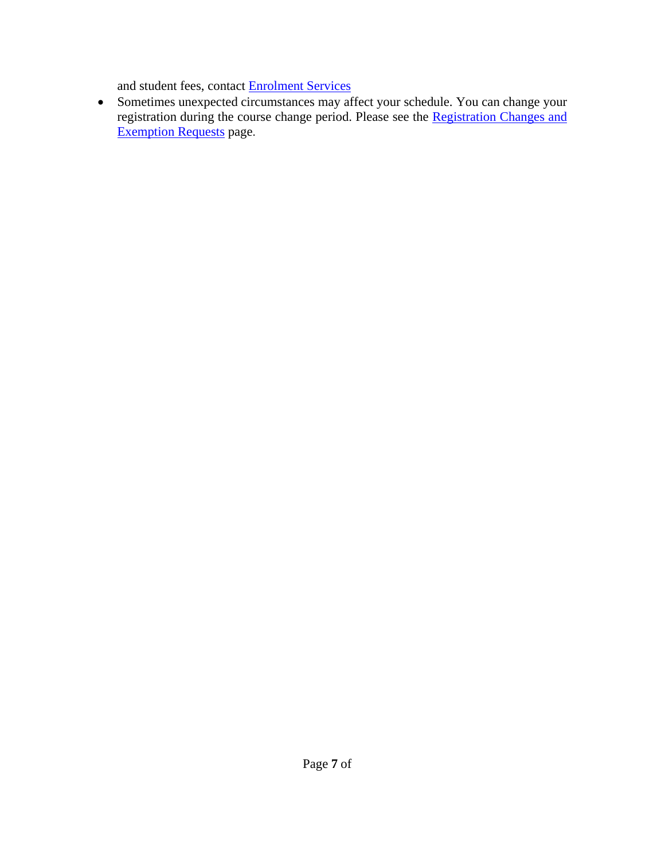and student fees, contact [Enrolment Services](https://www.ucalgary.ca/registrar/contact-us/enrolment-services-advising)

• Sometimes unexpected circumstances may affect your schedule. You can change your registration during the course change period. Please see the [Registration Changes and](https://www.ucalgary.ca/registrar/registration/appeals) [Exemption Requests](https://www.ucalgary.ca/registrar/registration/appeals) page.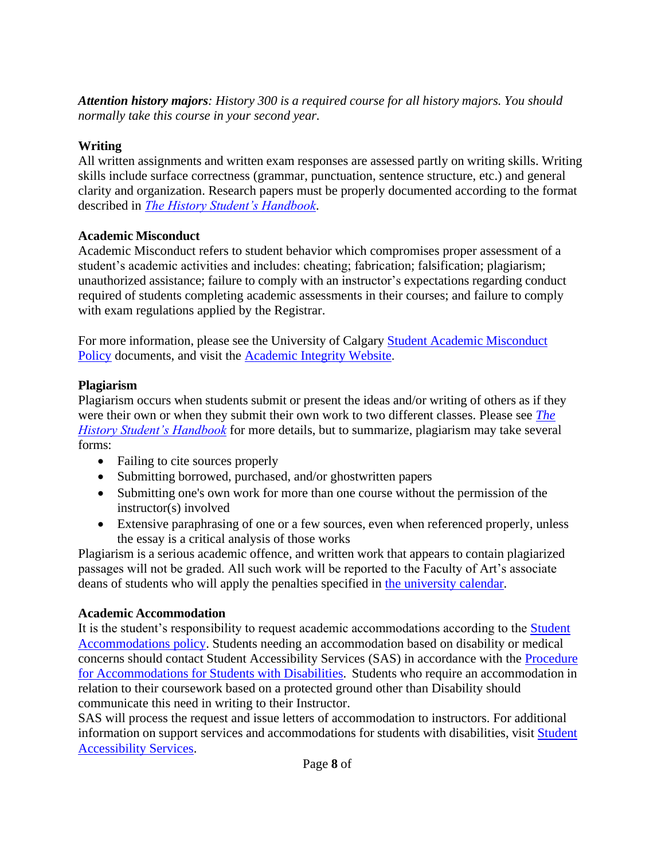*Attention history majors: History 300 is a required course for all history majors. You should normally take this course in your second year.*

# **Writing**

All written assignments and written exam responses are assessed partly on writing skills. Writing skills include surface correctness (grammar, punctuation, sentence structure, etc.) and general clarity and organization. Research papers must be properly documented according to the format described in *[The History Student's Handbook](https://arts.ucalgary.ca/history/current-students/undergraduate/student-handbook)*.

# **Academic Misconduct**

Academic Misconduct refers to student behavior which compromises proper assessment of a student's academic activities and includes: cheating; fabrication; falsification; plagiarism; unauthorized assistance; failure to comply with an instructor's expectations regarding conduct required of students completing academic assessments in their courses; and failure to comply with exam regulations applied by the Registrar.

For more information, please see the University of Calgary Student Academic [Misconduct](https://www.ucalgary.ca/legal-services/university-policies-procedures/student-academic-misconduct-policy) [Policy](https://www.ucalgary.ca/legal-services/university-policies-procedures/student-academic-misconduct-policy) documents, and visit the [Academic Integrity Website](https://ucalgary.ca/student-services/student-success/learning/academic-integrity).

# **Plagiarism**

Plagiarism occurs when students submit or present the ideas and/or writing of others as if they were their own or when they submit their own work to two different classes. Please see *[The](https://arts.ucalgary.ca/history/current-students/undergraduate/student-handbook) [History Student's Handbook](https://arts.ucalgary.ca/history/current-students/undergraduate/student-handbook)* for more details, but to summarize, plagiarism may take several forms:

- Failing to cite sources properly
- Submitting borrowed, purchased, and/or ghostwritten papers
- Submitting one's own work for more than one course without the permission of the instructor(s) involved
- Extensive paraphrasing of one or a few sources, even when referenced properly, unless the essay is a critical analysis of those works

Plagiarism is a serious academic offence, and written work that appears to contain plagiarized passages will not be graded. All such work will be reported to the Faculty of Art's associate deans of students who will apply the penalties specified in [the university calendar.](https://www.ucalgary.ca/pubs/calendar/current/k.html)

# **Academic Accommodation**

It is the student's responsibility to request academic accommodations according to the [Student](https://www.ucalgary.ca/legal-services/university-policies-procedures/student-accommodation-policy) [Accommodations](https://www.ucalgary.ca/legal-services/university-policies-procedures/student-accommodation-policy) policy. Students needing an accommodation based on disability or medical concerns should contact Student Accessibility Services (SAS) in accordance with the [Procedure](https://www.ucalgary.ca/legal-services/university-policies-procedures/accommodation-students-disabilities-procedure) for [Accommodations](https://www.ucalgary.ca/legal-services/university-policies-procedures/accommodation-students-disabilities-procedure) for Students with Disabilities. Students who require an accommodation in relation to their coursework based on a protected ground other than Disability should communicate this need in writing to their Instructor.

SAS will process the request and issue letters of accommodation to instructors. For additional information on support services and accommodations for students with disabilities, visit [Student](http://www.ucalgary.ca/access/) [Accessibility Services.](http://www.ucalgary.ca/access/)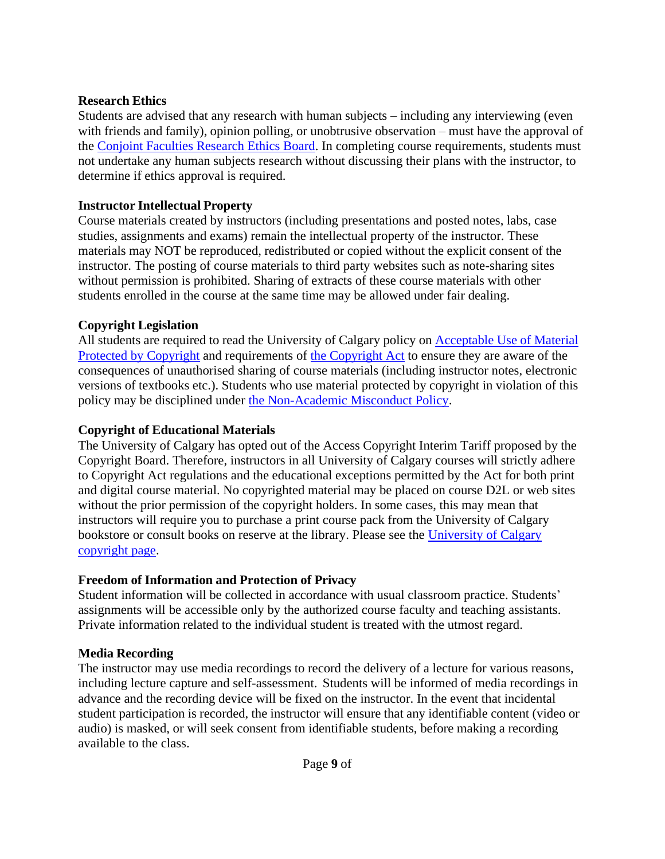## **Research Ethics**

Students are advised that any research with human subjects – including any interviewing (even with friends and family), opinion polling, or unobtrusive observation – must have the approval of the [Conjoint Faculties Research Ethics Board.](https://research.ucalgary.ca/conduct-research/ethics-compliance/human-research-ethics/conjoint-faculties-research-ethics-board) In completing course requirements, students must not undertake any human subjects research without discussing their plans with the instructor, to determine if ethics approval is required.

# **Instructor Intellectual Property**

Course materials created by instructors (including presentations and posted notes, labs, case studies, assignments and exams) remain the intellectual property of the instructor. These materials may NOT be reproduced, redistributed or copied without the explicit consent of the instructor. The posting of course materials to third party websites such as note-sharing sites without permission is prohibited. Sharing of extracts of these course materials with other students enrolled in the course at the same time may be allowed under fair dealing.

# **Copyright Legislation**

All students are required to read the University of Calgary policy on [Acceptable](https://www.ucalgary.ca/legal-services/university-policies-procedures/acceptable-use-material-protected-copyright-policy) Use of Material [Protected by Copyright](https://www.ucalgary.ca/legal-services/university-policies-procedures/acceptable-use-material-protected-copyright-policy) and requirements of [the Copyright Act](https://laws-lois.justice.gc.ca/eng/acts/C-42/index.html) to ensure they are aware of the consequences of unauthorised sharing of course materials (including instructor notes, electronic versions of textbooks etc.). Students who use material protected by copyright in violation of this policy may be disciplined under [the Non-Academic Misconduct Policy.](https://www.ucalgary.ca/pubs/calendar/current/k.html)

# **Copyright of Educational Materials**

The University of Calgary has opted out of the Access Copyright Interim Tariff proposed by the Copyright Board. Therefore, instructors in all University of Calgary courses will strictly adhere to Copyright Act regulations and the educational exceptions permitted by the Act for both print and digital course material. No copyrighted material may be placed on course D2L or web sites without the prior permission of the copyright holders. In some cases, this may mean that instructors will require you to purchase a print course pack from the University of Calgary bookstore or consult books on reserve at the library. Please see the [University of Calgary](http://library.ucalgary.ca/copyright) [copyright page.](http://library.ucalgary.ca/copyright)

# **Freedom of Information and Protection of Privacy**

Student information will be collected in accordance with usual classroom practice. Students' assignments will be accessible only by the authorized course faculty and teaching assistants. Private information related to the individual student is treated with the utmost regard.

# **Media Recording**

The instructor may use media recordings to record the delivery of a lecture for various reasons, including lecture capture and self-assessment. Students will be informed of media recordings in advance and the recording device will be fixed on the instructor. In the event that incidental student participation is recorded, the instructor will ensure that any identifiable content (video or audio) is masked, or will seek consent from identifiable students, before making a recording available to the class.